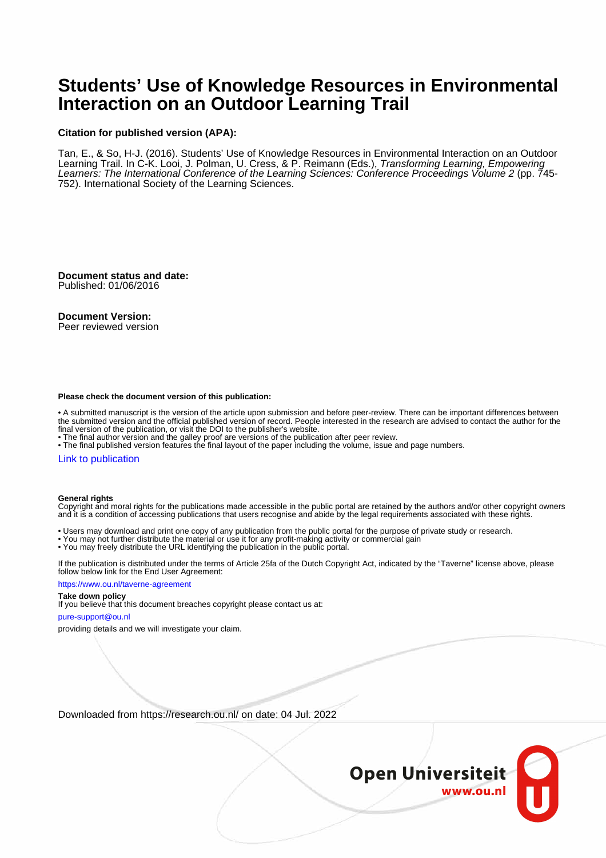# **Students' Use of Knowledge Resources in Environmental Interaction on an Outdoor Learning Trail**

#### **Citation for published version (APA):**

Tan, E., & So, H-J. (2016). Students' Use of Knowledge Resources in Environmental Interaction on an Outdoor Learning Trail. In C-K. Looi, J. Polman, U. Cress, & P. Reimann (Eds.), Transforming Learning, Empowering Learners: The International Conference of the Learning Sciences: Conference Proceedings Volume 2 (pp. 745-752). International Society of the Learning Sciences.

**Document status and date:** Published: 01/06/2016

#### **Document Version:**

Peer reviewed version

#### **Please check the document version of this publication:**

• A submitted manuscript is the version of the article upon submission and before peer-review. There can be important differences between the submitted version and the official published version of record. People interested in the research are advised to contact the author for the final version of the publication, or visit the DOI to the publisher's website.

• The final author version and the galley proof are versions of the publication after peer review.

• The final published version features the final layout of the paper including the volume, issue and page numbers.

#### [Link to publication](https://research.ou.nl/en/publications/15107c8b-0cea-4ad5-968e-41844fe79b42)

#### **General rights**

Copyright and moral rights for the publications made accessible in the public portal are retained by the authors and/or other copyright owners and it is a condition of accessing publications that users recognise and abide by the legal requirements associated with these rights.

- Users may download and print one copy of any publication from the public portal for the purpose of private study or research.
- You may not further distribute the material or use it for any profit-making activity or commercial gain
- You may freely distribute the URL identifying the publication in the public portal.

If the publication is distributed under the terms of Article 25fa of the Dutch Copyright Act, indicated by the "Taverne" license above, please follow below link for the End User Agreement:

#### https://www.ou.nl/taverne-agreement

## **Take down policy**

If you believe that this document breaches copyright please contact us at:

#### pure-support@ou.nl

providing details and we will investigate your claim.

Downloaded from https://research.ou.nl/ on date: 04 Jul. 2022

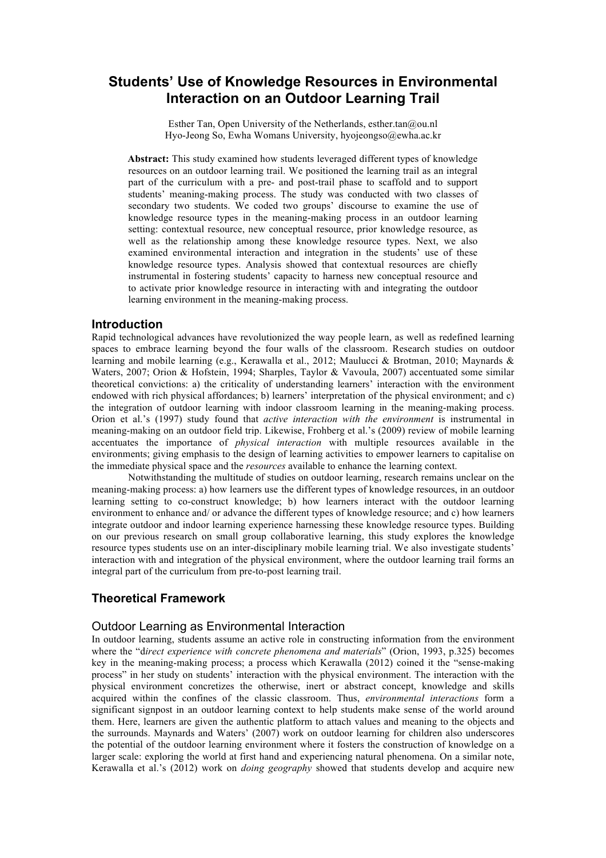## **Students' Use of Knowledge Resources in Environmental Interaction on an Outdoor Learning Trail**

Esther Tan, Open University of the Netherlands, esther.tan@ou.nl Hyo-Jeong So, Ewha Womans University, hyojeongso@ewha.ac.kr

**Abstract:** This study examined how students leveraged different types of knowledge resources on an outdoor learning trail. We positioned the learning trail as an integral part of the curriculum with a pre- and post-trail phase to scaffold and to support students' meaning-making process. The study was conducted with two classes of secondary two students. We coded two groups' discourse to examine the use of knowledge resource types in the meaning-making process in an outdoor learning setting: contextual resource, new conceptual resource, prior knowledge resource, as well as the relationship among these knowledge resource types. Next, we also examined environmental interaction and integration in the students' use of these knowledge resource types. Analysis showed that contextual resources are chiefly instrumental in fostering students' capacity to harness new conceptual resource and to activate prior knowledge resource in interacting with and integrating the outdoor learning environment in the meaning-making process.

## **Introduction**

Rapid technological advances have revolutionized the way people learn, as well as redefined learning spaces to embrace learning beyond the four walls of the classroom. Research studies on outdoor learning and mobile learning (e.g., Kerawalla et al., 2012; Maulucci & Brotman, 2010; Maynards & Waters, 2007; Orion & Hofstein, 1994; Sharples, Taylor & Vavoula, 2007) accentuated some similar theoretical convictions: a) the criticality of understanding learners' interaction with the environment endowed with rich physical affordances; b) learners' interpretation of the physical environment; and c) the integration of outdoor learning with indoor classroom learning in the meaning-making process. Orion et al.'s (1997) study found that *active interaction with the environment* is instrumental in meaning-making on an outdoor field trip. Likewise, Frohberg et al.'s (2009) review of mobile learning accentuates the importance of *physical interaction* with multiple resources available in the environments; giving emphasis to the design of learning activities to empower learners to capitalise on the immediate physical space and the *resources* available to enhance the learning context.

Notwithstanding the multitude of studies on outdoor learning, research remains unclear on the meaning-making process: a) how learners use the different types of knowledge resources, in an outdoor learning setting to co-construct knowledge; b) how learners interact with the outdoor learning environment to enhance and/ or advance the different types of knowledge resource; and c) how learners integrate outdoor and indoor learning experience harnessing these knowledge resource types. Building on our previous research on small group collaborative learning, this study explores the knowledge resource types students use on an inter-disciplinary mobile learning trial. We also investigate students' interaction with and integration of the physical environment, where the outdoor learning trail forms an integral part of the curriculum from pre-to-post learning trail.

## **Theoretical Framework**

### Outdoor Learning as Environmental Interaction

In outdoor learning, students assume an active role in constructing information from the environment where the "d*irect experience with concrete phenomena and materials*" (Orion, 1993, p.325) becomes key in the meaning-making process; a process which Kerawalla (2012) coined it the "sense-making process" in her study on students' interaction with the physical environment. The interaction with the physical environment concretizes the otherwise, inert or abstract concept, knowledge and skills acquired within the confines of the classic classroom. Thus, *environmental interactions* form a significant signpost in an outdoor learning context to help students make sense of the world around them. Here, learners are given the authentic platform to attach values and meaning to the objects and the surrounds. Maynards and Waters' (2007) work on outdoor learning for children also underscores the potential of the outdoor learning environment where it fosters the construction of knowledge on a larger scale: exploring the world at first hand and experiencing natural phenomena. On a similar note, Kerawalla et al.'s (2012) work on *doing geography* showed that students develop and acquire new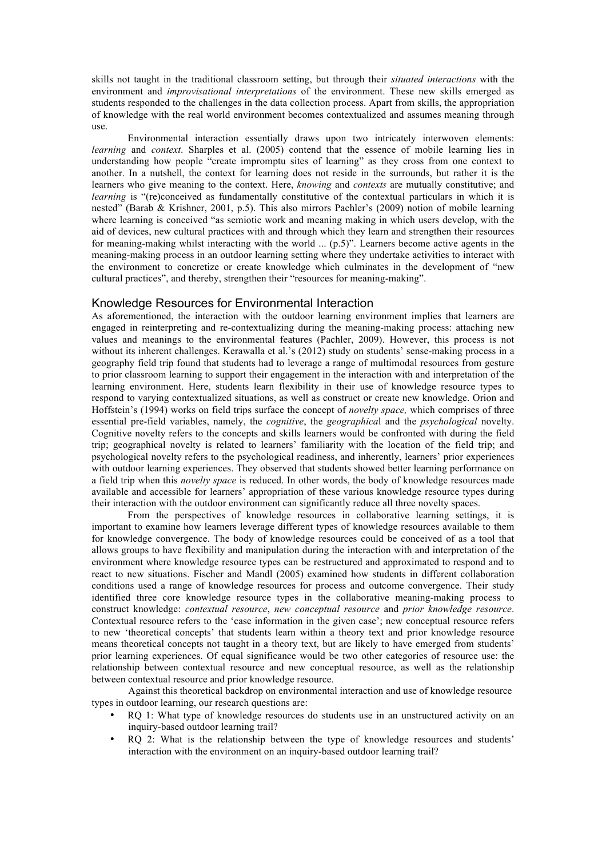skills not taught in the traditional classroom setting, but through their *situated interactions* with the environment and *improvisational interpretations* of the environment. These new skills emerged as students responded to the challenges in the data collection process. Apart from skills, the appropriation of knowledge with the real world environment becomes contextualized and assumes meaning through use.

Environmental interaction essentially draws upon two intricately interwoven elements: *learning* and *context*. Sharples et al. (2005) contend that the essence of mobile learning lies in understanding how people "create impromptu sites of learning" as they cross from one context to another. In a nutshell, the context for learning does not reside in the surrounds, but rather it is the learners who give meaning to the context. Here, *knowing* and *contexts* are mutually constitutive; and *learning* is "(re)conceived as fundamentally constitutive of the contextual particulars in which it is nested" (Barab & Krishner, 2001, p.5). This also mirrors Pachler's (2009) notion of mobile learning where learning is conceived "as semiotic work and meaning making in which users develop, with the aid of devices, new cultural practices with and through which they learn and strengthen their resources for meaning-making whilst interacting with the world ... (p.5)". Learners become active agents in the meaning-making process in an outdoor learning setting where they undertake activities to interact with the environment to concretize or create knowledge which culminates in the development of "new cultural practices", and thereby, strengthen their "resources for meaning-making".

### Knowledge Resources for Environmental Interaction

As aforementioned, the interaction with the outdoor learning environment implies that learners are engaged in reinterpreting and re-contextualizing during the meaning-making process: attaching new values and meanings to the environmental features (Pachler, 2009). However, this process is not without its inherent challenges. Kerawalla et al.'s (2012) study on students' sense-making process in a geography field trip found that students had to leverage a range of multimodal resources from gesture to prior classroom learning to support their engagement in the interaction with and interpretation of the learning environment. Here, students learn flexibility in their use of knowledge resource types to respond to varying contextualized situations, as well as construct or create new knowledge. Orion and Hoffstein's (1994) works on field trips surface the concept of *novelty space,* which comprises of three essential pre-field variables, namely, the *cognitive*, the *geographica*l and the *psychological* novelty. Cognitive novelty refers to the concepts and skills learners would be confronted with during the field trip; geographical novelty is related to learners' familiarity with the location of the field trip; and psychological novelty refers to the psychological readiness, and inherently, learners' prior experiences with outdoor learning experiences. They observed that students showed better learning performance on a field trip when this *novelty space* is reduced. In other words, the body of knowledge resources made available and accessible for learners' appropriation of these various knowledge resource types during their interaction with the outdoor environment can significantly reduce all three novelty spaces.

From the perspectives of knowledge resources in collaborative learning settings, it is important to examine how learners leverage different types of knowledge resources available to them for knowledge convergence. The body of knowledge resources could be conceived of as a tool that allows groups to have flexibility and manipulation during the interaction with and interpretation of the environment where knowledge resource types can be restructured and approximated to respond and to react to new situations. Fischer and Mandl (2005) examined how students in different collaboration conditions used a range of knowledge resources for process and outcome convergence. Their study identified three core knowledge resource types in the collaborative meaning-making process to construct knowledge: *contextual resource*, *new conceptual resource* and *prior knowledge resource*. Contextual resource refers to the 'case information in the given case'; new conceptual resource refers to new 'theoretical concepts' that students learn within a theory text and prior knowledge resource means theoretical concepts not taught in a theory text, but are likely to have emerged from students' prior learning experiences. Of equal significance would be two other categories of resource use: the relationship between contextual resource and new conceptual resource, as well as the relationship between contextual resource and prior knowledge resource.

Against this theoretical backdrop on environmental interaction and use of knowledge resource types in outdoor learning, our research questions are:

- RO 1: What type of knowledge resources do students use in an unstructured activity on an inquiry-based outdoor learning trail?
- RQ 2: What is the relationship between the type of knowledge resources and students' interaction with the environment on an inquiry-based outdoor learning trail?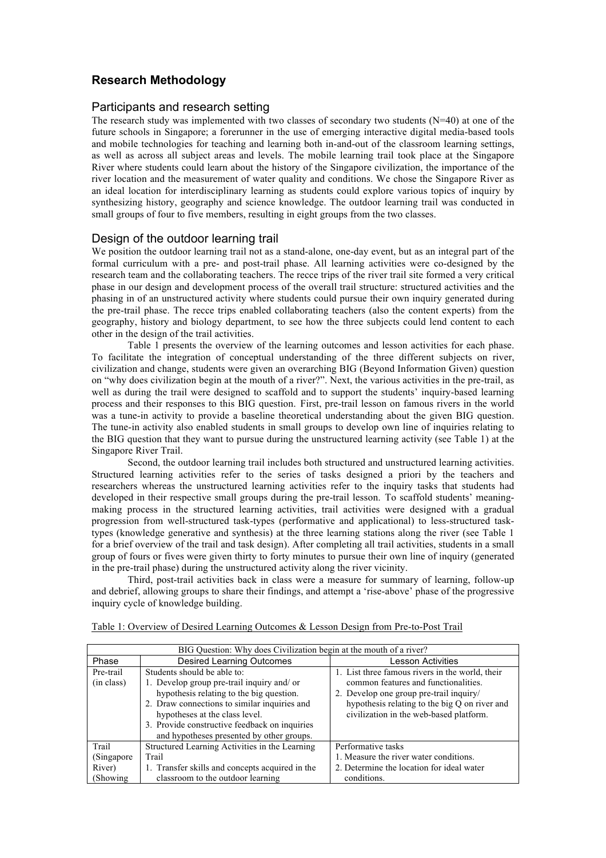## **Research Methodology**

## Participants and research setting

The research study was implemented with two classes of secondary two students  $(N=40)$  at one of the future schools in Singapore; a forerunner in the use of emerging interactive digital media-based tools and mobile technologies for teaching and learning both in-and-out of the classroom learning settings, as well as across all subject areas and levels. The mobile learning trail took place at the Singapore River where students could learn about the history of the Singapore civilization, the importance of the river location and the measurement of water quality and conditions. We chose the Singapore River as an ideal location for interdisciplinary learning as students could explore various topics of inquiry by synthesizing history, geography and science knowledge. The outdoor learning trail was conducted in small groups of four to five members, resulting in eight groups from the two classes.

## Design of the outdoor learning trail

We position the outdoor learning trail not as a stand-alone, one-day event, but as an integral part of the formal curriculum with a pre- and post-trail phase. All learning activities were co-designed by the research team and the collaborating teachers. The recce trips of the river trail site formed a very critical phase in our design and development process of the overall trail structure: structured activities and the phasing in of an unstructured activity where students could pursue their own inquiry generated during the pre-trail phase. The recce trips enabled collaborating teachers (also the content experts) from the geography, history and biology department, to see how the three subjects could lend content to each other in the design of the trail activities.

Table 1 presents the overview of the learning outcomes and lesson activities for each phase. To facilitate the integration of conceptual understanding of the three different subjects on river, civilization and change, students were given an overarching BIG (Beyond Information Given) question on "why does civilization begin at the mouth of a river?". Next, the various activities in the pre-trail, as well as during the trail were designed to scaffold and to support the students' inquiry-based learning process and their responses to this BIG question. First, pre-trail lesson on famous rivers in the world was a tune-in activity to provide a baseline theoretical understanding about the given BIG question. The tune-in activity also enabled students in small groups to develop own line of inquiries relating to the BIG question that they want to pursue during the unstructured learning activity (see Table 1) at the Singapore River Trail.

Second, the outdoor learning trail includes both structured and unstructured learning activities. Structured learning activities refer to the series of tasks designed a priori by the teachers and researchers whereas the unstructured learning activities refer to the inquiry tasks that students had developed in their respective small groups during the pre-trail lesson. To scaffold students' meaningmaking process in the structured learning activities, trail activities were designed with a gradual progression from well-structured task-types (performative and applicational) to less-structured tasktypes (knowledge generative and synthesis) at the three learning stations along the river (see Table 1 for a brief overview of the trail and task design). After completing all trail activities, students in a small group of fours or fives were given thirty to forty minutes to pursue their own line of inquiry (generated in the pre-trail phase) during the unstructured activity along the river vicinity.

Third, post-trail activities back in class were a measure for summary of learning, follow-up and debrief, allowing groups to share their findings, and attempt a 'rise-above' phase of the progressive inquiry cycle of knowledge building.

| BIG Question: Why does Civilization begin at the mouth of a river? |                                                                                                                                                                                                                                                                                                      |                                                                                                                                                                                                                                |  |  |  |
|--------------------------------------------------------------------|------------------------------------------------------------------------------------------------------------------------------------------------------------------------------------------------------------------------------------------------------------------------------------------------------|--------------------------------------------------------------------------------------------------------------------------------------------------------------------------------------------------------------------------------|--|--|--|
| Phase                                                              | <b>Desired Learning Outcomes</b><br>Lesson Activities                                                                                                                                                                                                                                                |                                                                                                                                                                                                                                |  |  |  |
| Pre-trail<br>(in class)                                            | Students should be able to:<br>1. Develop group pre-trail inquiry and/or<br>hypothesis relating to the big question.<br>2. Draw connections to similar inquiries and<br>hypotheses at the class level.<br>3. Provide constructive feedback on inquiries<br>and hypotheses presented by other groups. | 1. List three famous rivers in the world, their<br>common features and functionalities.<br>2. Develop one group pre-trail inquiry/<br>hypothesis relating to the big Q on river and<br>civilization in the web-based platform. |  |  |  |
| Trail                                                              | Structured Learning Activities in the Learning                                                                                                                                                                                                                                                       | Performative tasks                                                                                                                                                                                                             |  |  |  |
| (Singapore)                                                        | Trail                                                                                                                                                                                                                                                                                                | 1. Measure the river water conditions.                                                                                                                                                                                         |  |  |  |
| River)                                                             | 1. Transfer skills and concepts acquired in the                                                                                                                                                                                                                                                      | 2. Determine the location for ideal water                                                                                                                                                                                      |  |  |  |
| (Showing)                                                          | classroom to the outdoor learning                                                                                                                                                                                                                                                                    | conditions.                                                                                                                                                                                                                    |  |  |  |

|  |  | Table 1: Overview of Desired Learning Outcomes & Lesson Design from Pre-to-Post Trail |  |  |  |
|--|--|---------------------------------------------------------------------------------------|--|--|--|
|  |  |                                                                                       |  |  |  |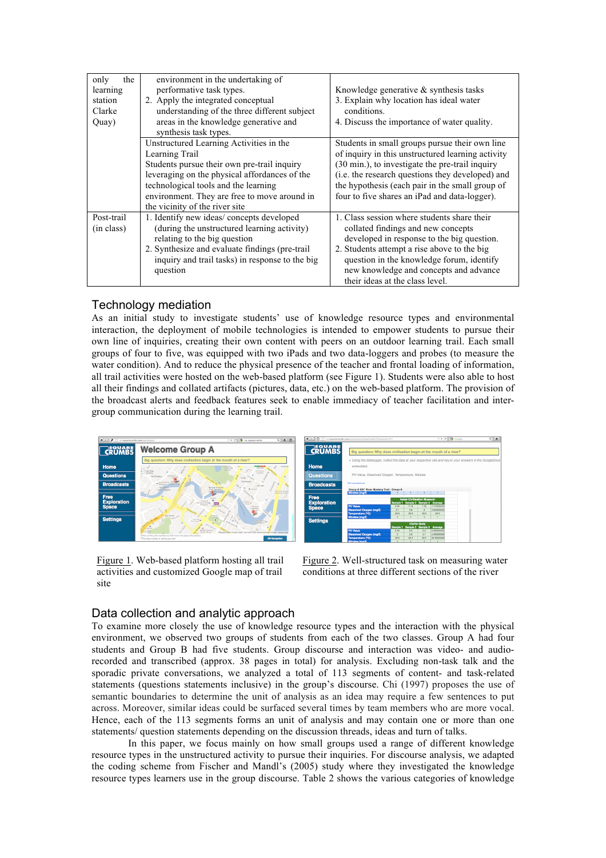| only<br>the<br>learning<br>station<br>Clarke<br>Quay) | environment in the undertaking of<br>performative task types.<br>2. Apply the integrated conceptual<br>understanding of the three different subject<br>areas in the knowledge generative and<br>synthesis task types.                                                               | Knowledge generative $\&$ synthesis tasks<br>3. Explain why location has ideal water<br>conditions.<br>4. Discuss the importance of water quality.                                                                                                                                                             |
|-------------------------------------------------------|-------------------------------------------------------------------------------------------------------------------------------------------------------------------------------------------------------------------------------------------------------------------------------------|----------------------------------------------------------------------------------------------------------------------------------------------------------------------------------------------------------------------------------------------------------------------------------------------------------------|
|                                                       | Unstructured Learning Activities in the<br>Learning Trail<br>Students pursue their own pre-trail inquiry<br>leveraging on the physical affordances of the<br>technological tools and the learning<br>environment. They are free to move around in<br>the vicinity of the river site | Students in small groups pursue their own line<br>of inquiry in this unstructured learning activity<br>(30 min.), to investigate the pre-trail inquiry<br>(i.e. the research questions they developed) and<br>the hypothesis (each pair in the small group of<br>four to five shares an iPad and data-logger). |
| Post-trail<br>(in class)                              | 1. Identify new ideas/concepts developed<br>(during the unstructured learning activity)<br>relating to the big question<br>2. Synthesize and evaluate findings (pre-trail)<br>inquiry and trail tasks) in response to the big<br>question                                           | 1. Class session where students share their<br>collated findings and new concepts<br>developed in response to the big question.<br>2. Students attempt a rise above to the big<br>question in the knowledge forum, identify<br>new knowledge and concepts and advance<br>their ideas at the class level.       |

## Technology mediation

As an initial study to investigate students' use of knowledge resource types and environmental interaction, the deployment of mobile technologies is intended to empower students to pursue their own line of inquiries, creating their own content with peers on an outdoor learning trail. Each small groups of four to five, was equipped with two iPads and two data-loggers and probes (to measure the water condition). And to reduce the physical presence of the teacher and frontal loading of information, all trail activities were hosted on the web-based platform (see Figure 1). Students were also able to host all their findings and collated artifacts (pictures, data, etc.) on the web-based platform. The provision of the broadcast alerts and feedback features seek to enable immediacy of teacher facilitation and intergroup communication during the learning trail.



Figure 1. Web-based platform hosting all trail activities and customized Google map of trail site



Figure 2. Well-structured task on measuring water conditions at three different sections of the river

## Data collection and analytic approach

To examine more closely the use of knowledge resource types and the interaction with the physical environment, we observed two groups of students from each of the two classes. Group A had four students and Group B had five students. Group discourse and interaction was video- and audiorecorded and transcribed (approx. 38 pages in total) for analysis. Excluding non-task talk and the sporadic private conversations, we analyzed a total of 113 segments of content- and task-related statements (questions statements inclusive) in the group's discourse. Chi (1997) proposes the use of semantic boundaries to determine the unit of analysis as an idea may require a few sentences to put across. Moreover, similar ideas could be surfaced several times by team members who are more vocal. Hence, each of the 113 segments forms an unit of analysis and may contain one or more than one statements/ question statements depending on the discussion threads, ideas and turn of talks.

In this paper, we focus mainly on how small groups used a range of different knowledge resource types in the unstructured activity to pursue their inquiries. For discourse analysis, we adapted the coding scheme from Fischer and Mandl's (2005) study where they investigated the knowledge resource types learners use in the group discourse. Table 2 shows the various categories of knowledge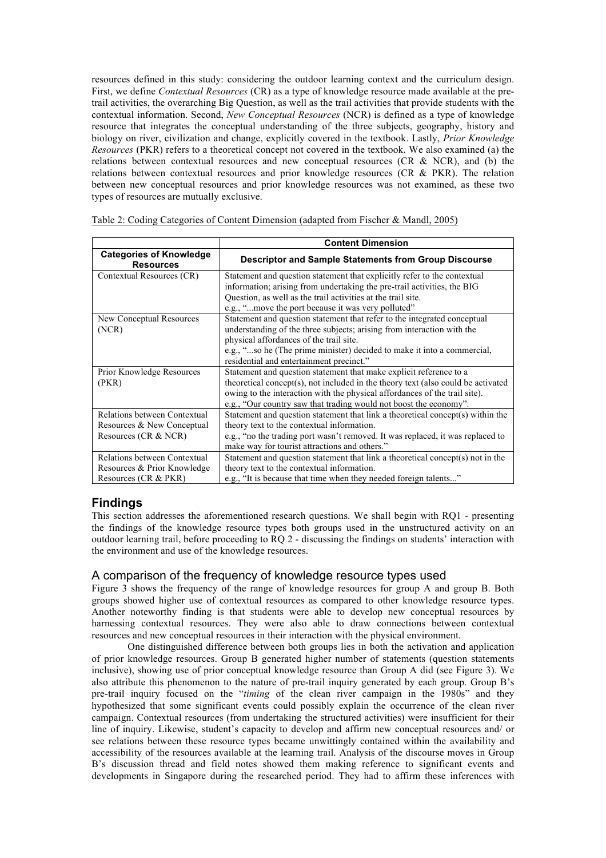resources defined in this study: considering the outdoor learning context and the curriculum design. First, we define *Contextual Resources* (CR) as a type of knowledge resource made available at the pretrail activities, the overarching Big Question, as well as the trail activities that provide students with the contextual information. Second, *New Conceptual Resources* (NCR) is defined as a type of knowledge resource that integrates the conceptual understanding of the three subjects, geography, history and biology on river, civilization and change, explicitly covered in the textbook. Lastly, *Prior Knowledge Resources* (PKR) refers to a theoretical concept not covered in the textbook. We also examined (a) the relations between contextual resources and new conceptual resources (CR & NCR), and (b) the relations between contextual resources and prior knowledge resources (CR & PKR). The relation between new conceptual resources and prior knowledge resources was not examined, as these two types of resources are mutually exclusive.

|                                                    | <b>Content Dimension</b>                                                         |  |  |
|----------------------------------------------------|----------------------------------------------------------------------------------|--|--|
| <b>Categories of Knowledge</b><br><b>Resources</b> | <b>Descriptor and Sample Statements from Group Discourse</b>                     |  |  |
| Contextual Resources (CR)                          | Statement and question statement that explicitly refer to the contextual         |  |  |
|                                                    | information; arising from undertaking the pre-trail activities, the BIG          |  |  |
|                                                    | Question, as well as the trail activities at the trail site.                     |  |  |
|                                                    | e.g., "move the port because it was very polluted"                               |  |  |
| New Conceptual Resources                           | Statement and question statement that refer to the integrated conceptual         |  |  |
| (NCR)                                              | understanding of the three subjects; arising from interaction with the           |  |  |
|                                                    | physical affordances of the trail site.                                          |  |  |
|                                                    | e.g., "so he (The prime minister) decided to make it into a commercial,          |  |  |
|                                                    | residential and entertainment precinct."                                         |  |  |
| Prior Knowledge Resources                          | Statement and question statement that make explicit reference to a               |  |  |
| (PKR)                                              | theoretical concept(s), not included in the theory text (also could be activated |  |  |
|                                                    | owing to the interaction with the physical affordances of the trail site).       |  |  |
|                                                    | e.g., "Our country saw that trading would not boost the economy".                |  |  |
| Relations between Contextual                       | Statement and question statement that link a theoretical concept(s) within the   |  |  |
| Resources & New Conceptual                         | theory text to the contextual information.                                       |  |  |
| Resources (CR & NCR)                               | e.g., "no the trading port wasn't removed. It was replaced, it was replaced to   |  |  |
|                                                    | make way for tourist attractions and others."                                    |  |  |
| Relations between Contextual                       | Statement and question statement that link a theoretical concept(s) not in the   |  |  |
| Resources & Prior Knowledge                        | theory text to the contextual information.                                       |  |  |
| Resources (CR & PKR)                               | e.g., "It is because that time when they needed foreign talents"                 |  |  |

Table 2: Coding Categories of Content Dimension (adapted from Fischer & Mandl, 2005)

## **Findings**

This section addresses the aforementioned research questions. We shall begin with RQ1 - presenting the findings of the knowledge resource types both groups used in the unstructured activity on an outdoor learning trail, before proceeding to RQ 2 - discussing the findings on students' interaction with the environment and use of the knowledge resources.

## A comparison of the frequency of knowledge resource types used

Figure 3 shows the frequency of the range of knowledge resources for group A and group B. Both groups showed higher use of contextual resources as compared to other knowledge resource types. Another noteworthy finding is that students were able to develop new conceptual resources by harnessing contextual resources. They were also able to draw connections between contextual resources and new conceptual resources in their interaction with the physical environment.

One distinguished difference between both groups lies in both the activation and application of prior knowledge resources. Group B generated higher number of statements (question statements inclusive), showing use of prior conceptual knowledge resource than Group A did (see Figure 3). We also attribute this phenomenon to the nature of pre-trail inquiry generated by each group. Group B's pre-trail inquiry focused on the "*timing* of the clean river campaign in the 1980s" and they hypothesized that some significant events could possibly explain the occurrence of the clean river campaign. Contextual resources (from undertaking the structured activities) were insufficient for their line of inquiry. Likewise, student's capacity to develop and affirm new conceptual resources and/ or see relations between these resource types became unwittingly contained within the availability and accessibility of the resources available at the learning trail. Analysis of the discourse moves in Group B's discussion thread and field notes showed them making reference to significant events and developments in Singapore during the researched period. They had to affirm these inferences with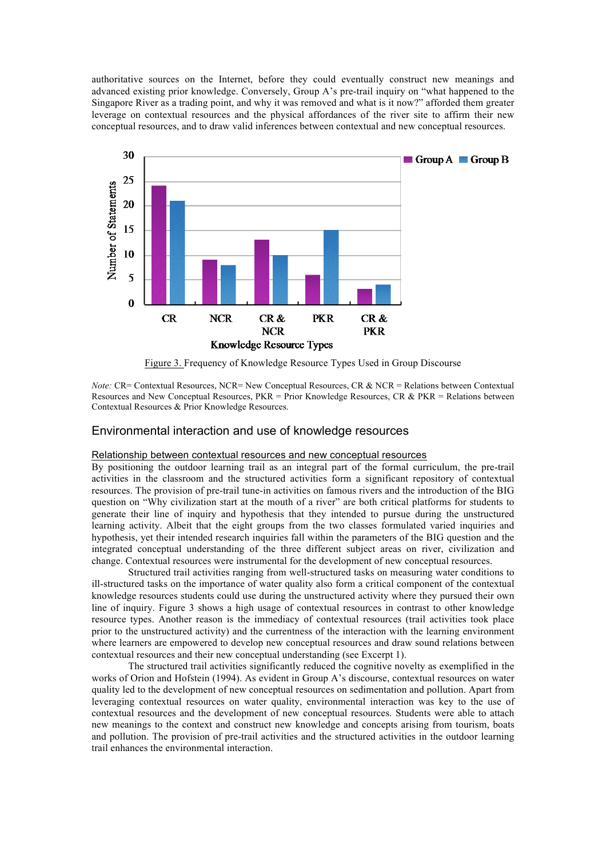authoritative sources on the Internet, before they could eventually construct new meanings and advanced existing prior knowledge. Conversely, Group A's pre-trail inquiry on "what happened to the Singapore River as a trading point, and why it was removed and what is it now?" afforded them greater leverage on contextual resources and the physical affordances of the river site to affirm their new conceptual resources, and to draw valid inferences between contextual and new conceptual resources.



Figure 3. Frequency of Knowledge Resource Types Used in Group Discourse

*Note:* CR= Contextual Resources, NCR= New Conceptual Resources, CR & NCR = Relations between Contextual Resources and New Conceptual Resources, PKR = Prior Knowledge Resources, CR & PKR = Relations between Contextual Resources & Prior Knowledge Resources.

## Environmental interaction and use of knowledge resources

### Relationship between contextual resources and new conceptual resources

By positioning the outdoor learning trail as an integral part of the formal curriculum, the pre-trail activities in the classroom and the structured activities form a significant repository of contextual resources. The provision of pre-trail tune-in activities on famous rivers and the introduction of the BIG question on "Why civilization start at the mouth of a river" are both critical platforms for students to generate their line of inquiry and hypothesis that they intended to pursue during the unstructured learning activity. Albeit that the eight groups from the two classes formulated varied inquiries and hypothesis, yet their intended research inquiries fall within the parameters of the BIG question and the integrated conceptual understanding of the three different subject areas on river, civilization and change. Contextual resources were instrumental for the development of new conceptual resources.

Structured trail activities ranging from well-structured tasks on measuring water conditions to ill-structured tasks on the importance of water quality also form a critical component of the contextual knowledge resources students could use during the unstructured activity where they pursued their own line of inquiry. Figure 3 shows a high usage of contextual resources in contrast to other knowledge resource types. Another reason is the immediacy of contextual resources (trail activities took place prior to the unstructured activity) and the currentness of the interaction with the learning environment where learners are empowered to develop new conceptual resources and draw sound relations between contextual resources and their new conceptual understanding (see Excerpt 1).

The structured trail activities significantly reduced the cognitive novelty as exemplified in the works of Orion and Hofstein (1994). As evident in Group A's discourse, contextual resources on water quality led to the development of new conceptual resources on sedimentation and pollution. Apart from leveraging contextual resources on water quality, environmental interaction was key to the use of contextual resources and the development of new conceptual resources. Students were able to attach new meanings to the context and construct new knowledge and concepts arising from tourism, boats and pollution. The provision of pre-trail activities and the structured activities in the outdoor learning trail enhances the environmental interaction.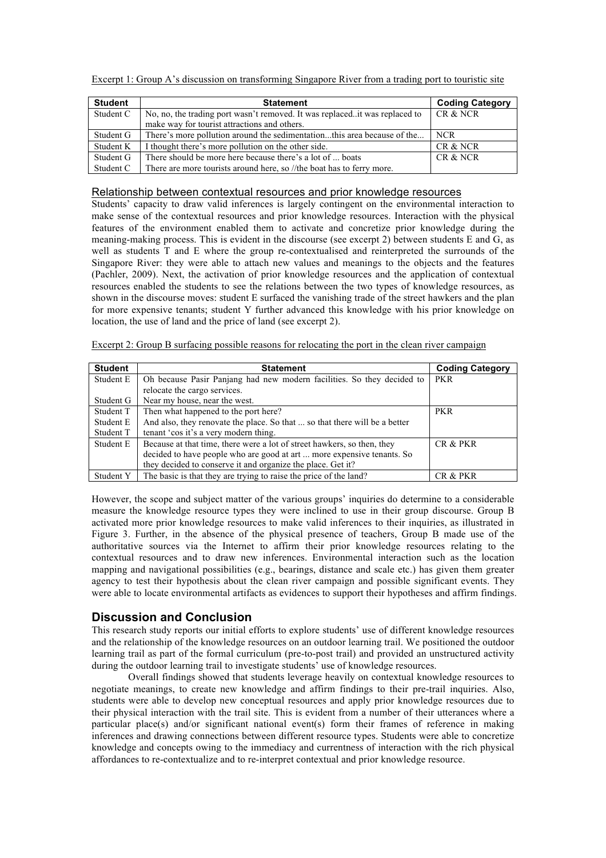| <b>Student</b> | <b>Statement</b>                                                             | <b>Coding Category</b> |
|----------------|------------------------------------------------------------------------------|------------------------|
| Student C      | No, no, the trading port wasn't removed. It was replaced. it was replaced to | CR & NCR               |
|                | make way for tourist attractions and others.                                 |                        |
| Student G      | There's more pollution around the sedimentationthis area because of the      | NCR.                   |
| Student K      | I thought there's more pollution on the other side.                          | CR & NCR               |
| Student G      | There should be more here because there's a lot of  boats                    | CR & NCR               |
| Student C      | There are more tourists around here, so //the boat has to ferry more.        |                        |

Excerpt 1: Group A's discussion on transforming Singapore River from a trading port to touristic site

### Relationship between contextual resources and prior knowledge resources

Students' capacity to draw valid inferences is largely contingent on the environmental interaction to make sense of the contextual resources and prior knowledge resources. Interaction with the physical features of the environment enabled them to activate and concretize prior knowledge during the meaning-making process. This is evident in the discourse (see excerpt 2) between students E and G, as well as students T and E where the group re-contextualised and reinterpreted the surrounds of the Singapore River: they were able to attach new values and meanings to the objects and the features (Pachler, 2009). Next, the activation of prior knowledge resources and the application of contextual resources enabled the students to see the relations between the two types of knowledge resources, as shown in the discourse moves: student E surfaced the vanishing trade of the street hawkers and the plan for more expensive tenants; student Y further advanced this knowledge with his prior knowledge on location, the use of land and the price of land (see excerpt 2).

Excerpt 2: Group B surfacing possible reasons for relocating the port in the clean river campaign

| <b>Student</b> | <b>Statement</b>                                                           | <b>Coding Category</b> |
|----------------|----------------------------------------------------------------------------|------------------------|
| Student E      | Oh because Pasir Panjang had new modern facilities. So they decided to     | <b>PKR</b>             |
|                | relocate the cargo services.                                               |                        |
| Student G      | Near my house, near the west.                                              |                        |
| Student T      | Then what happened to the port here?                                       | <b>PKR</b>             |
| Student E      | And also, they renovate the place. So that  so that there will be a better |                        |
| Student T      | tenant 'cos it's a very modern thing.                                      |                        |
| Student E      | Because at that time, there were a lot of street hawkers, so then, they    | CR & PKR               |
|                | decided to have people who are good at art  more expensive tenants. So     |                        |
|                | they decided to conserve it and organize the place. Get it?                |                        |
| Student Y      | The basic is that they are trying to raise the price of the land?          | CR & PKR               |

However, the scope and subject matter of the various groups' inquiries do determine to a considerable measure the knowledge resource types they were inclined to use in their group discourse. Group B activated more prior knowledge resources to make valid inferences to their inquiries, as illustrated in Figure 3. Further, in the absence of the physical presence of teachers, Group B made use of the authoritative sources via the Internet to affirm their prior knowledge resources relating to the contextual resources and to draw new inferences. Environmental interaction such as the location mapping and navigational possibilities (e.g., bearings, distance and scale etc.) has given them greater agency to test their hypothesis about the clean river campaign and possible significant events. They were able to locate environmental artifacts as evidences to support their hypotheses and affirm findings.

## **Discussion and Conclusion**

This research study reports our initial efforts to explore students' use of different knowledge resources and the relationship of the knowledge resources on an outdoor learning trail. We positioned the outdoor learning trail as part of the formal curriculum (pre-to-post trail) and provided an unstructured activity during the outdoor learning trail to investigate students' use of knowledge resources.

Overall findings showed that students leverage heavily on contextual knowledge resources to negotiate meanings, to create new knowledge and affirm findings to their pre-trail inquiries. Also, students were able to develop new conceptual resources and apply prior knowledge resources due to their physical interaction with the trail site. This is evident from a number of their utterances where a particular place(s) and/or significant national event(s) form their frames of reference in making inferences and drawing connections between different resource types. Students were able to concretize knowledge and concepts owing to the immediacy and currentness of interaction with the rich physical affordances to re-contextualize and to re-interpret contextual and prior knowledge resource.